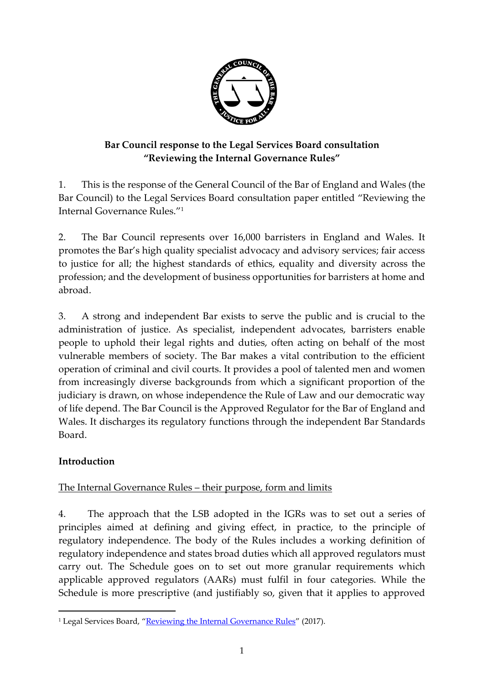

# **Bar Council response to the Legal Services Board consultation "Reviewing the Internal Governance Rules"**

1. This is the response of the General Council of the Bar of England and Wales (the Bar Council) to the Legal Services Board consultation paper entitled "Reviewing the Internal Governance Rules." 1

2. The Bar Council represents over 16,000 barristers in England and Wales. It promotes the Bar's high quality specialist advocacy and advisory services; fair access to justice for all; the highest standards of ethics, equality and diversity across the profession; and the development of business opportunities for barristers at home and abroad.

3. A strong and independent Bar exists to serve the public and is crucial to the administration of justice. As specialist, independent advocates, barristers enable people to uphold their legal rights and duties, often acting on behalf of the most vulnerable members of society. The Bar makes a vital contribution to the efficient operation of criminal and civil courts. It provides a pool of talented men and women from increasingly diverse backgrounds from which a significant proportion of the judiciary is drawn, on whose independence the Rule of Law and our democratic way of life depend. The Bar Council is the Approved Regulator for the Bar of England and Wales. It discharges its regulatory functions through the independent Bar Standards Board.

### **Introduction**

 $\overline{a}$ 

### The Internal Governance Rules – their purpose, form and limits

4. The approach that the LSB adopted in the IGRs was to set out a series of principles aimed at defining and giving effect, in practice, to the principle of regulatory independence. The body of the Rules includes a working definition of regulatory independence and states broad duties which all approved regulators must carry out. The Schedule goes on to set out more granular requirements which applicable approved regulators (AARs) must fulfil in four categories. While the Schedule is more prescriptive (and justifiably so, given that it applies to approved

<sup>&</sup>lt;sup>1</sup> Legal Services Board, "[Reviewing the Internal Governance Rules](http://www.legalservicesboard.org.uk/what_we_do/consultations/open/pdf/2017/IGR_consultation_doc_-_final_version.pdf)" (2017).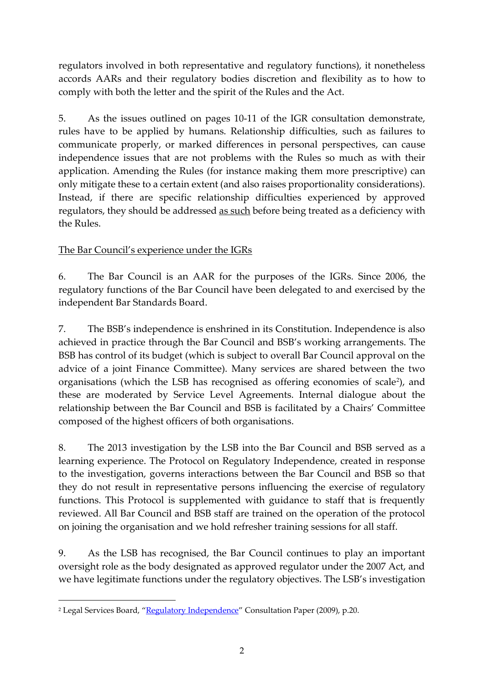regulators involved in both representative and regulatory functions), it nonetheless accords AARs and their regulatory bodies discretion and flexibility as to how to comply with both the letter and the spirit of the Rules and the Act.

5. As the issues outlined on pages 10-11 of the IGR consultation demonstrate, rules have to be applied by humans. Relationship difficulties, such as failures to communicate properly, or marked differences in personal perspectives, can cause independence issues that are not problems with the Rules so much as with their application. Amending the Rules (for instance making them more prescriptive) can only mitigate these to a certain extent (and also raises proportionality considerations). Instead, if there are specific relationship difficulties experienced by approved regulators, they should be addressed as such before being treated as a deficiency with the Rules.

# The Bar Council's experience under the IGRs

6. The Bar Council is an AAR for the purposes of the IGRs. Since 2006, the regulatory functions of the Bar Council have been delegated to and exercised by the independent Bar Standards Board.

7. The BSB's independence is enshrined in its Constitution. Independence is also achieved in practice through the Bar Council and BSB's working arrangements. The BSB has control of its budget (which is subject to overall Bar Council approval on the advice of a joint Finance Committee). Many services are shared between the two organisations (which the LSB has recognised as offering economies of scale<sup>2</sup>), and these are moderated by Service Level Agreements. Internal dialogue about the relationship between the Bar Council and BSB is facilitated by a Chairs' Committee composed of the highest officers of both organisations.

8. The 2013 investigation by the LSB into the Bar Council and BSB served as a learning experience. The Protocol on Regulatory Independence, created in response to the investigation, governs interactions between the Bar Council and BSB so that they do not result in representative persons influencing the exercise of regulatory functions. This Protocol is supplemented with guidance to staff that is frequently reviewed. All Bar Council and BSB staff are trained on the operation of the protocol on joining the organisation and we hold refresher training sessions for all staff.

9. As the LSB has recognised, the Bar Council continues to play an important oversight role as the body designated as approved regulator under the 2007 Act, and we have legitimate functions under the regulatory objectives. The LSB's investigation

**<sup>.</sup>** <sup>2</sup> Legal Services Board, "[Regulatory Independence](http://www.legalservicesboard.org.uk/what_we_do/consultations/2009/pdf/regulatory_independence.pdf)" Consultation Paper (2009), p.20.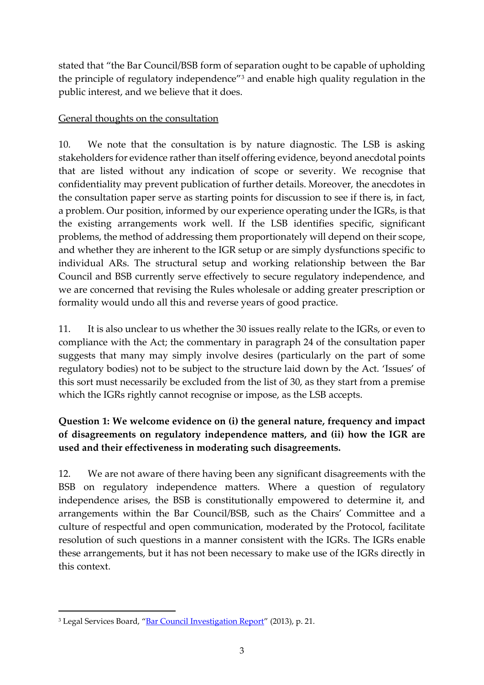stated that "the Bar Council/BSB form of separation ought to be capable of upholding the principle of regulatory independence"<sup>3</sup> and enable high quality regulation in the public interest, and we believe that it does.

#### General thoughts on the consultation

10. We note that the consultation is by nature diagnostic. The LSB is asking stakeholders for evidence rather than itself offering evidence, beyond anecdotal points that are listed without any indication of scope or severity. We recognise that confidentiality may prevent publication of further details. Moreover, the anecdotes in the consultation paper serve as starting points for discussion to see if there is, in fact, a problem. Our position, informed by our experience operating under the IGRs, is that the existing arrangements work well. If the LSB identifies specific, significant problems, the method of addressing them proportionately will depend on their scope, and whether they are inherent to the IGR setup or are simply dysfunctions specific to individual ARs. The structural setup and working relationship between the Bar Council and BSB currently serve effectively to secure regulatory independence, and we are concerned that revising the Rules wholesale or adding greater prescription or formality would undo all this and reverse years of good practice.

11. It is also unclear to us whether the 30 issues really relate to the IGRs, or even to compliance with the Act; the commentary in paragraph 24 of the consultation paper suggests that many may simply involve desires (particularly on the part of some regulatory bodies) not to be subject to the structure laid down by the Act. 'Issues' of this sort must necessarily be excluded from the list of 30, as they start from a premise which the IGRs rightly cannot recognise or impose, as the LSB accepts.

# **Question 1: We welcome evidence on (i) the general nature, frequency and impact of disagreements on regulatory independence matters, and (ii) how the IGR are used and their effectiveness in moderating such disagreements.**

12. We are not aware of there having been any significant disagreements with the BSB on regulatory independence matters. Where a question of regulatory independence arises, the BSB is constitutionally empowered to determine it, and arrangements within the Bar Council/BSB, such as the Chairs' Committee and a culture of respectful and open communication, moderated by the Protocol, facilitate resolution of such questions in a manner consistent with the IGRs. The IGRs enable these arrangements, but it has not been necessary to make use of the IGRs directly in this context.

 $\overline{a}$ 

<sup>&</sup>lt;sup>3</sup> Legal Services Board, "[Bar Council Investigation Report](http://www.legalservicesboard.org.uk/Projects/pdf/LSB_investigation_into_bar_council_influencing_of_the_BSB_(25-11-13).pdf)" (2013), p. 21.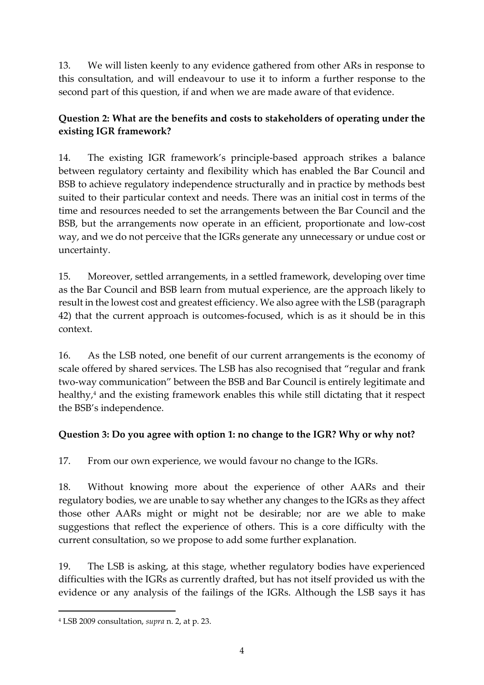13. We will listen keenly to any evidence gathered from other ARs in response to this consultation, and will endeavour to use it to inform a further response to the second part of this question, if and when we are made aware of that evidence.

# **Question 2: What are the benefits and costs to stakeholders of operating under the existing IGR framework?**

14. The existing IGR framework's principle-based approach strikes a balance between regulatory certainty and flexibility which has enabled the Bar Council and BSB to achieve regulatory independence structurally and in practice by methods best suited to their particular context and needs. There was an initial cost in terms of the time and resources needed to set the arrangements between the Bar Council and the BSB, but the arrangements now operate in an efficient, proportionate and low-cost way, and we do not perceive that the IGRs generate any unnecessary or undue cost or uncertainty.

15. Moreover, settled arrangements, in a settled framework, developing over time as the Bar Council and BSB learn from mutual experience, are the approach likely to result in the lowest cost and greatest efficiency. We also agree with the LSB (paragraph 42) that the current approach is outcomes-focused, which is as it should be in this context.

16. As the LSB noted, one benefit of our current arrangements is the economy of scale offered by shared services. The LSB has also recognised that "regular and frank two-way communication" between the BSB and Bar Council is entirely legitimate and healthy,<sup>4</sup> and the existing framework enables this while still dictating that it respect the BSB's independence.

### **Question 3: Do you agree with option 1: no change to the IGR? Why or why not?**

17. From our own experience, we would favour no change to the IGRs.

18. Without knowing more about the experience of other AARs and their regulatory bodies, we are unable to say whether any changes to the IGRs as they affect those other AARs might or might not be desirable; nor are we able to make suggestions that reflect the experience of others. This is a core difficulty with the current consultation, so we propose to add some further explanation.

19. The LSB is asking, at this stage, whether regulatory bodies have experienced difficulties with the IGRs as currently drafted, but has not itself provided us with the evidence or any analysis of the failings of the IGRs. Although the LSB says it has

 $\overline{a}$ 

<sup>4</sup> LSB 2009 consultation, *supra* n. 2, at p. 23.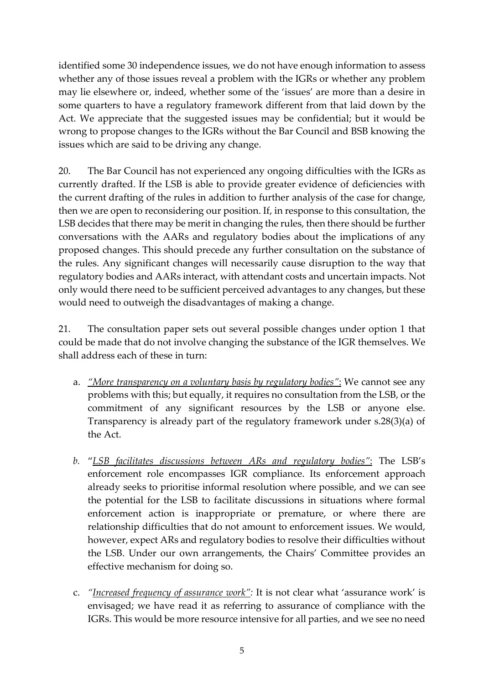identified some 30 independence issues, we do not have enough information to assess whether any of those issues reveal a problem with the IGRs or whether any problem may lie elsewhere or, indeed, whether some of the 'issues' are more than a desire in some quarters to have a regulatory framework different from that laid down by the Act. We appreciate that the suggested issues may be confidential; but it would be wrong to propose changes to the IGRs without the Bar Council and BSB knowing the issues which are said to be driving any change.

20. The Bar Council has not experienced any ongoing difficulties with the IGRs as currently drafted. If the LSB is able to provide greater evidence of deficiencies with the current drafting of the rules in addition to further analysis of the case for change, then we are open to reconsidering our position. If, in response to this consultation, the LSB decides that there may be merit in changing the rules, then there should be further conversations with the AARs and regulatory bodies about the implications of any proposed changes. This should precede any further consultation on the substance of the rules. Any significant changes will necessarily cause disruption to the way that regulatory bodies and AARs interact, with attendant costs and uncertain impacts. Not only would there need to be sufficient perceived advantages to any changes, but these would need to outweigh the disadvantages of making a change.

21. The consultation paper sets out several possible changes under option 1 that could be made that do not involve changing the substance of the IGR themselves. We shall address each of these in turn:

- a. *"More transparency on a voluntary basis by regulatory bodies"*: We cannot see any problems with this; but equally, it requires no consultation from the LSB, or the commitment of any significant resources by the LSB or anyone else. Transparency is already part of the regulatory framework under s.28(3)(a) of the Act.
- *b.* "*LSB facilitates discussions between ARs and regulatory bodies"*: The LSB's enforcement role encompasses IGR compliance. Its enforcement approach already seeks to prioritise informal resolution where possible, and we can see the potential for the LSB to facilitate discussions in situations where formal enforcement action is inappropriate or premature, or where there are relationship difficulties that do not amount to enforcement issues. We would, however, expect ARs and regulatory bodies to resolve their difficulties without the LSB. Under our own arrangements, the Chairs' Committee provides an effective mechanism for doing so.
- c. *"Increased frequency of assurance work":* It is not clear what 'assurance work' is envisaged; we have read it as referring to assurance of compliance with the IGRs. This would be more resource intensive for all parties, and we see no need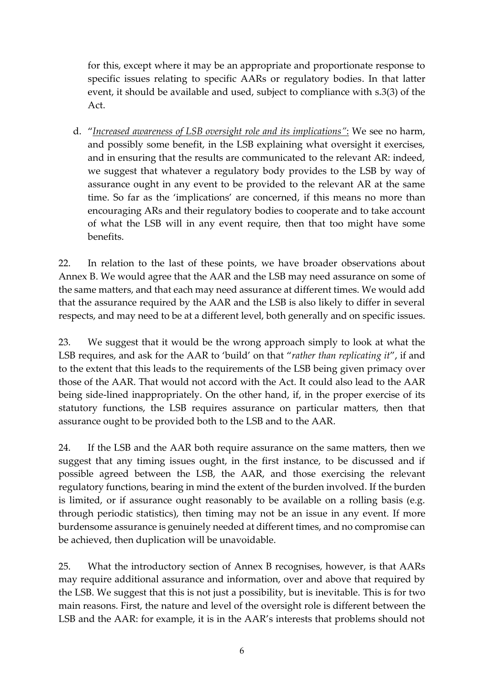for this, except where it may be an appropriate and proportionate response to specific issues relating to specific AARs or regulatory bodies. In that latter event, it should be available and used, subject to compliance with s.3(3) of the Act.

d. "*Increased awareness of LSB oversight role and its implications"*: We see no harm, and possibly some benefit, in the LSB explaining what oversight it exercises, and in ensuring that the results are communicated to the relevant AR: indeed, we suggest that whatever a regulatory body provides to the LSB by way of assurance ought in any event to be provided to the relevant AR at the same time. So far as the 'implications' are concerned, if this means no more than encouraging ARs and their regulatory bodies to cooperate and to take account of what the LSB will in any event require, then that too might have some benefits.

22. In relation to the last of these points, we have broader observations about Annex B. We would agree that the AAR and the LSB may need assurance on some of the same matters, and that each may need assurance at different times. We would add that the assurance required by the AAR and the LSB is also likely to differ in several respects, and may need to be at a different level, both generally and on specific issues.

23. We suggest that it would be the wrong approach simply to look at what the LSB requires, and ask for the AAR to 'build' on that "*rather than replicating it*", if and to the extent that this leads to the requirements of the LSB being given primacy over those of the AAR. That would not accord with the Act. It could also lead to the AAR being side-lined inappropriately. On the other hand, if, in the proper exercise of its statutory functions, the LSB requires assurance on particular matters, then that assurance ought to be provided both to the LSB and to the AAR.

24. If the LSB and the AAR both require assurance on the same matters, then we suggest that any timing issues ought, in the first instance, to be discussed and if possible agreed between the LSB, the AAR, and those exercising the relevant regulatory functions, bearing in mind the extent of the burden involved. If the burden is limited, or if assurance ought reasonably to be available on a rolling basis (e.g. through periodic statistics), then timing may not be an issue in any event. If more burdensome assurance is genuinely needed at different times, and no compromise can be achieved, then duplication will be unavoidable.

25. What the introductory section of Annex B recognises, however, is that AARs may require additional assurance and information, over and above that required by the LSB. We suggest that this is not just a possibility, but is inevitable. This is for two main reasons. First, the nature and level of the oversight role is different between the LSB and the AAR: for example, it is in the AAR's interests that problems should not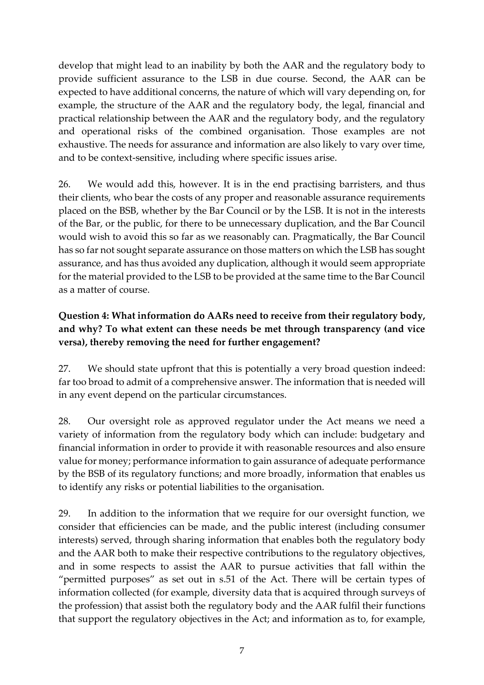develop that might lead to an inability by both the AAR and the regulatory body to provide sufficient assurance to the LSB in due course. Second, the AAR can be expected to have additional concerns, the nature of which will vary depending on, for example, the structure of the AAR and the regulatory body, the legal, financial and practical relationship between the AAR and the regulatory body, and the regulatory and operational risks of the combined organisation. Those examples are not exhaustive. The needs for assurance and information are also likely to vary over time, and to be context-sensitive, including where specific issues arise.

26. We would add this, however. It is in the end practising barristers, and thus their clients, who bear the costs of any proper and reasonable assurance requirements placed on the BSB, whether by the Bar Council or by the LSB. It is not in the interests of the Bar, or the public, for there to be unnecessary duplication, and the Bar Council would wish to avoid this so far as we reasonably can. Pragmatically, the Bar Council has so far not sought separate assurance on those matters on which the LSB has sought assurance, and has thus avoided any duplication, although it would seem appropriate for the material provided to the LSB to be provided at the same time to the Bar Council as a matter of course.

## **Question 4: What information do AARs need to receive from their regulatory body, and why? To what extent can these needs be met through transparency (and vice versa), thereby removing the need for further engagement?**

27. We should state upfront that this is potentially a very broad question indeed: far too broad to admit of a comprehensive answer. The information that is needed will in any event depend on the particular circumstances.

28. Our oversight role as approved regulator under the Act means we need a variety of information from the regulatory body which can include: budgetary and financial information in order to provide it with reasonable resources and also ensure value for money; performance information to gain assurance of adequate performance by the BSB of its regulatory functions; and more broadly, information that enables us to identify any risks or potential liabilities to the organisation.

29. In addition to the information that we require for our oversight function, we consider that efficiencies can be made, and the public interest (including consumer interests) served, through sharing information that enables both the regulatory body and the AAR both to make their respective contributions to the regulatory objectives, and in some respects to assist the AAR to pursue activities that fall within the "permitted purposes" as set out in s.51 of the Act. There will be certain types of information collected (for example, diversity data that is acquired through surveys of the profession) that assist both the regulatory body and the AAR fulfil their functions that support the regulatory objectives in the Act; and information as to, for example,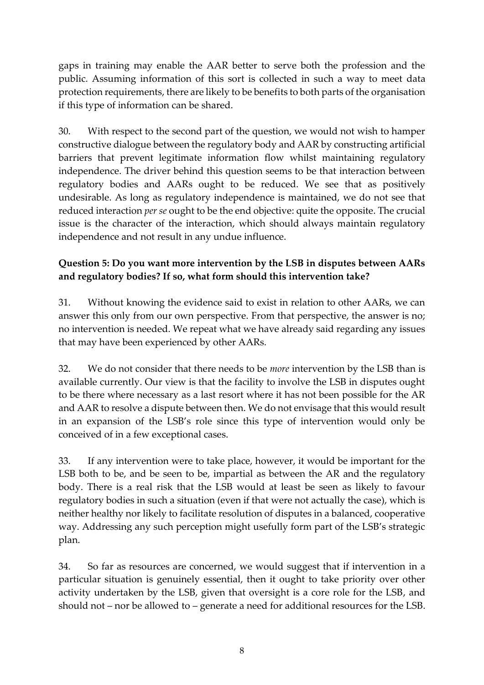gaps in training may enable the AAR better to serve both the profession and the public. Assuming information of this sort is collected in such a way to meet data protection requirements, there are likely to be benefits to both parts of the organisation if this type of information can be shared.

30. With respect to the second part of the question, we would not wish to hamper constructive dialogue between the regulatory body and AAR by constructing artificial barriers that prevent legitimate information flow whilst maintaining regulatory independence. The driver behind this question seems to be that interaction between regulatory bodies and AARs ought to be reduced. We see that as positively undesirable. As long as regulatory independence is maintained, we do not see that reduced interaction *per se* ought to be the end objective: quite the opposite. The crucial issue is the character of the interaction, which should always maintain regulatory independence and not result in any undue influence.

## **Question 5: Do you want more intervention by the LSB in disputes between AARs and regulatory bodies? If so, what form should this intervention take?**

31. Without knowing the evidence said to exist in relation to other AARs, we can answer this only from our own perspective. From that perspective, the answer is no; no intervention is needed. We repeat what we have already said regarding any issues that may have been experienced by other AARs.

32. We do not consider that there needs to be *more* intervention by the LSB than is available currently. Our view is that the facility to involve the LSB in disputes ought to be there where necessary as a last resort where it has not been possible for the AR and AAR to resolve a dispute between then. We do not envisage that this would result in an expansion of the LSB's role since this type of intervention would only be conceived of in a few exceptional cases.

33. If any intervention were to take place, however, it would be important for the LSB both to be, and be seen to be, impartial as between the AR and the regulatory body. There is a real risk that the LSB would at least be seen as likely to favour regulatory bodies in such a situation (even if that were not actually the case), which is neither healthy nor likely to facilitate resolution of disputes in a balanced, cooperative way. Addressing any such perception might usefully form part of the LSB's strategic plan.

34. So far as resources are concerned, we would suggest that if intervention in a particular situation is genuinely essential, then it ought to take priority over other activity undertaken by the LSB, given that oversight is a core role for the LSB, and should not – nor be allowed to – generate a need for additional resources for the LSB.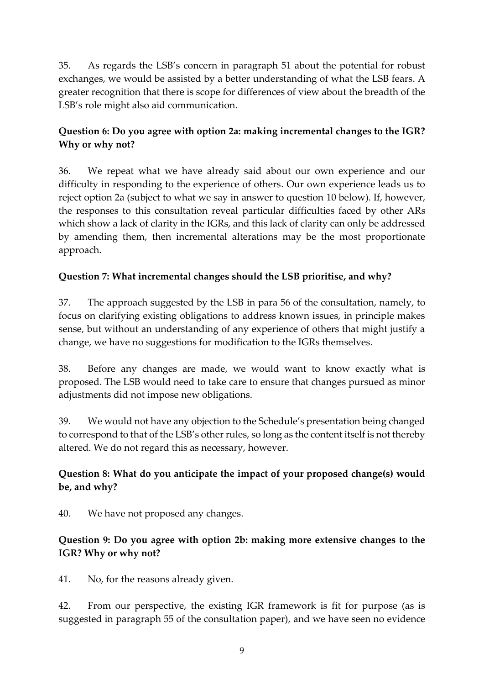35. As regards the LSB's concern in paragraph 51 about the potential for robust exchanges, we would be assisted by a better understanding of what the LSB fears. A greater recognition that there is scope for differences of view about the breadth of the LSB's role might also aid communication.

### **Question 6: Do you agree with option 2a: making incremental changes to the IGR? Why or why not?**

36. We repeat what we have already said about our own experience and our difficulty in responding to the experience of others. Our own experience leads us to reject option 2a (subject to what we say in answer to question 10 below). If, however, the responses to this consultation reveal particular difficulties faced by other ARs which show a lack of clarity in the IGRs, and this lack of clarity can only be addressed by amending them, then incremental alterations may be the most proportionate approach.

#### **Question 7: What incremental changes should the LSB prioritise, and why?**

37. The approach suggested by the LSB in para 56 of the consultation, namely, to focus on clarifying existing obligations to address known issues, in principle makes sense, but without an understanding of any experience of others that might justify a change, we have no suggestions for modification to the IGRs themselves.

38. Before any changes are made, we would want to know exactly what is proposed. The LSB would need to take care to ensure that changes pursued as minor adjustments did not impose new obligations.

39. We would not have any objection to the Schedule's presentation being changed to correspond to that of the LSB's other rules, so long as the content itself is not thereby altered. We do not regard this as necessary, however.

### **Question 8: What do you anticipate the impact of your proposed change(s) would be, and why?**

40. We have not proposed any changes.

### **Question 9: Do you agree with option 2b: making more extensive changes to the IGR? Why or why not?**

41. No, for the reasons already given.

42. From our perspective, the existing IGR framework is fit for purpose (as is suggested in paragraph 55 of the consultation paper), and we have seen no evidence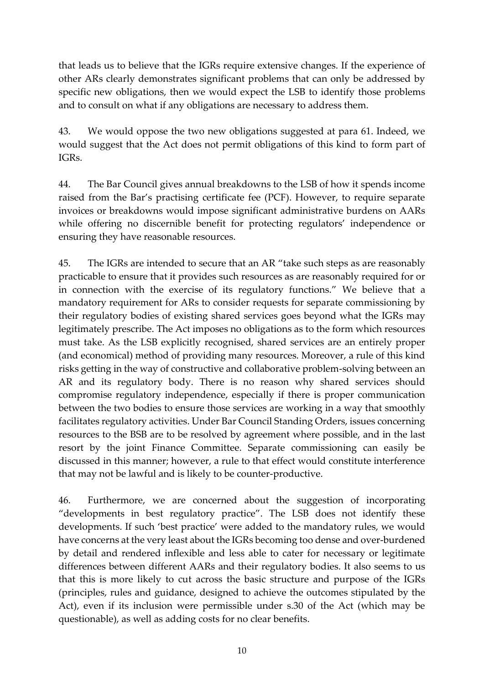that leads us to believe that the IGRs require extensive changes. If the experience of other ARs clearly demonstrates significant problems that can only be addressed by specific new obligations, then we would expect the LSB to identify those problems and to consult on what if any obligations are necessary to address them.

43. We would oppose the two new obligations suggested at para 61. Indeed, we would suggest that the Act does not permit obligations of this kind to form part of IGRs.

44. The Bar Council gives annual breakdowns to the LSB of how it spends income raised from the Bar's practising certificate fee (PCF). However, to require separate invoices or breakdowns would impose significant administrative burdens on AARs while offering no discernible benefit for protecting regulators' independence or ensuring they have reasonable resources.

45. The IGRs are intended to secure that an AR "take such steps as are reasonably practicable to ensure that it provides such resources as are reasonably required for or in connection with the exercise of its regulatory functions." We believe that a mandatory requirement for ARs to consider requests for separate commissioning by their regulatory bodies of existing shared services goes beyond what the IGRs may legitimately prescribe. The Act imposes no obligations as to the form which resources must take. As the LSB explicitly recognised, shared services are an entirely proper (and economical) method of providing many resources. Moreover, a rule of this kind risks getting in the way of constructive and collaborative problem-solving between an AR and its regulatory body. There is no reason why shared services should compromise regulatory independence, especially if there is proper communication between the two bodies to ensure those services are working in a way that smoothly facilitates regulatory activities. Under Bar Council Standing Orders, issues concerning resources to the BSB are to be resolved by agreement where possible, and in the last resort by the joint Finance Committee. Separate commissioning can easily be discussed in this manner; however, a rule to that effect would constitute interference that may not be lawful and is likely to be counter-productive.

46. Furthermore, we are concerned about the suggestion of incorporating "developments in best regulatory practice". The LSB does not identify these developments. If such 'best practice' were added to the mandatory rules, we would have concerns at the very least about the IGRs becoming too dense and over-burdened by detail and rendered inflexible and less able to cater for necessary or legitimate differences between different AARs and their regulatory bodies. It also seems to us that this is more likely to cut across the basic structure and purpose of the IGRs (principles, rules and guidance, designed to achieve the outcomes stipulated by the Act), even if its inclusion were permissible under s.30 of the Act (which may be questionable), as well as adding costs for no clear benefits.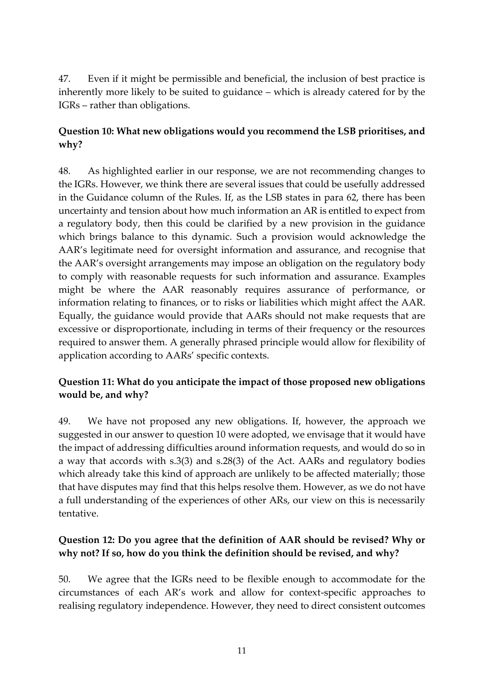47. Even if it might be permissible and beneficial, the inclusion of best practice is inherently more likely to be suited to guidance – which is already catered for by the IGRs – rather than obligations.

### **Question 10: What new obligations would you recommend the LSB prioritises, and why?**

48. As highlighted earlier in our response, we are not recommending changes to the IGRs. However, we think there are several issues that could be usefully addressed in the Guidance column of the Rules. If, as the LSB states in para 62, there has been uncertainty and tension about how much information an AR is entitled to expect from a regulatory body, then this could be clarified by a new provision in the guidance which brings balance to this dynamic. Such a provision would acknowledge the AAR's legitimate need for oversight information and assurance, and recognise that the AAR's oversight arrangements may impose an obligation on the regulatory body to comply with reasonable requests for such information and assurance. Examples might be where the AAR reasonably requires assurance of performance, or information relating to finances, or to risks or liabilities which might affect the AAR. Equally, the guidance would provide that AARs should not make requests that are excessive or disproportionate, including in terms of their frequency or the resources required to answer them. A generally phrased principle would allow for flexibility of application according to AARs' specific contexts.

### **Question 11: What do you anticipate the impact of those proposed new obligations would be, and why?**

49. We have not proposed any new obligations. If, however, the approach we suggested in our answer to question 10 were adopted, we envisage that it would have the impact of addressing difficulties around information requests, and would do so in a way that accords with s.3(3) and s.28(3) of the Act. AARs and regulatory bodies which already take this kind of approach are unlikely to be affected materially; those that have disputes may find that this helps resolve them. However, as we do not have a full understanding of the experiences of other ARs, our view on this is necessarily tentative.

### **Question 12: Do you agree that the definition of AAR should be revised? Why or why not? If so, how do you think the definition should be revised, and why?**

50. We agree that the IGRs need to be flexible enough to accommodate for the circumstances of each AR's work and allow for context-specific approaches to realising regulatory independence. However, they need to direct consistent outcomes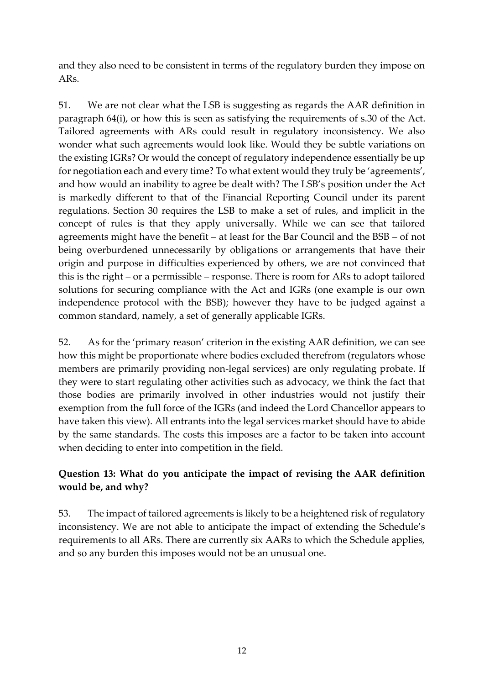and they also need to be consistent in terms of the regulatory burden they impose on ARs.

51. We are not clear what the LSB is suggesting as regards the AAR definition in paragraph 64(i), or how this is seen as satisfying the requirements of s.30 of the Act. Tailored agreements with ARs could result in regulatory inconsistency. We also wonder what such agreements would look like. Would they be subtle variations on the existing IGRs? Or would the concept of regulatory independence essentially be up for negotiation each and every time? To what extent would they truly be 'agreements', and how would an inability to agree be dealt with? The LSB's position under the Act is markedly different to that of the Financial Reporting Council under its parent regulations. Section 30 requires the LSB to make a set of rules, and implicit in the concept of rules is that they apply universally. While we can see that tailored agreements might have the benefit – at least for the Bar Council and the BSB – of not being overburdened unnecessarily by obligations or arrangements that have their origin and purpose in difficulties experienced by others, we are not convinced that this is the right – or a permissible – response. There is room for ARs to adopt tailored solutions for securing compliance with the Act and IGRs (one example is our own independence protocol with the BSB); however they have to be judged against a common standard, namely, a set of generally applicable IGRs.

52. As for the 'primary reason' criterion in the existing AAR definition, we can see how this might be proportionate where bodies excluded therefrom (regulators whose members are primarily providing non-legal services) are only regulating probate. If they were to start regulating other activities such as advocacy, we think the fact that those bodies are primarily involved in other industries would not justify their exemption from the full force of the IGRs (and indeed the Lord Chancellor appears to have taken this view). All entrants into the legal services market should have to abide by the same standards. The costs this imposes are a factor to be taken into account when deciding to enter into competition in the field.

# **Question 13: What do you anticipate the impact of revising the AAR definition would be, and why?**

53. The impact of tailored agreements is likely to be a heightened risk of regulatory inconsistency. We are not able to anticipate the impact of extending the Schedule's requirements to all ARs. There are currently six AARs to which the Schedule applies, and so any burden this imposes would not be an unusual one.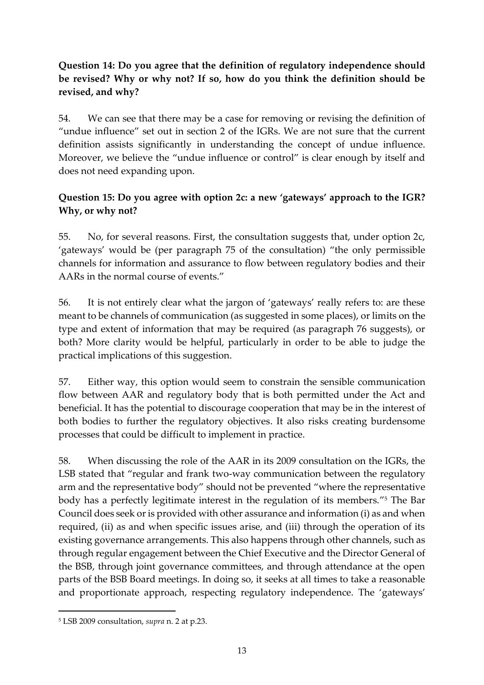## **Question 14: Do you agree that the definition of regulatory independence should be revised? Why or why not? If so, how do you think the definition should be revised, and why?**

54. We can see that there may be a case for removing or revising the definition of "undue influence" set out in section 2 of the IGRs. We are not sure that the current definition assists significantly in understanding the concept of undue influence. Moreover, we believe the "undue influence or control" is clear enough by itself and does not need expanding upon.

## **Question 15: Do you agree with option 2c: a new 'gateways' approach to the IGR? Why, or why not?**

55. No, for several reasons. First, the consultation suggests that, under option 2c, 'gateways' would be (per paragraph 75 of the consultation) "the only permissible channels for information and assurance to flow between regulatory bodies and their AARs in the normal course of events."

56. It is not entirely clear what the jargon of 'gateways' really refers to: are these meant to be channels of communication (as suggested in some places), or limits on the type and extent of information that may be required (as paragraph 76 suggests), or both? More clarity would be helpful, particularly in order to be able to judge the practical implications of this suggestion.

57. Either way, this option would seem to constrain the sensible communication flow between AAR and regulatory body that is both permitted under the Act and beneficial. It has the potential to discourage cooperation that may be in the interest of both bodies to further the regulatory objectives. It also risks creating burdensome processes that could be difficult to implement in practice.

58. When discussing the role of the AAR in its 2009 consultation on the IGRs, the LSB stated that "regular and frank two-way communication between the regulatory arm and the representative body" should not be prevented "where the representative body has a perfectly legitimate interest in the regulation of its members." <sup>5</sup> The Bar Council does seek or is provided with other assurance and information (i) as and when required, (ii) as and when specific issues arise, and (iii) through the operation of its existing governance arrangements. This also happens through other channels, such as through regular engagement between the Chief Executive and the Director General of the BSB, through joint governance committees, and through attendance at the open parts of the BSB Board meetings. In doing so, it seeks at all times to take a reasonable and proportionate approach, respecting regulatory independence. The 'gateways'

 $\overline{a}$ 

<sup>5</sup> LSB 2009 consultation, *supra* n. 2 at p.23.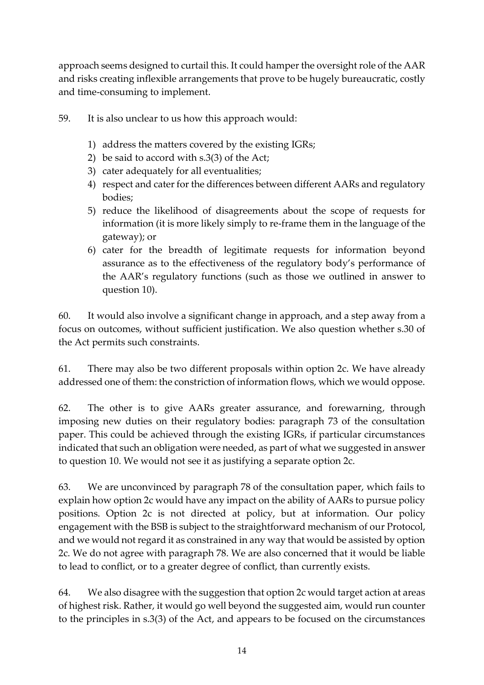approach seems designed to curtail this. It could hamper the oversight role of the AAR and risks creating inflexible arrangements that prove to be hugely bureaucratic, costly and time-consuming to implement.

- 59. It is also unclear to us how this approach would:
	- 1) address the matters covered by the existing IGRs;
	- 2) be said to accord with s.3(3) of the Act;
	- 3) cater adequately for all eventualities;
	- 4) respect and cater for the differences between different AARs and regulatory bodies;
	- 5) reduce the likelihood of disagreements about the scope of requests for information (it is more likely simply to re-frame them in the language of the gateway); or
	- 6) cater for the breadth of legitimate requests for information beyond assurance as to the effectiveness of the regulatory body's performance of the AAR's regulatory functions (such as those we outlined in answer to question 10).

60. It would also involve a significant change in approach, and a step away from a focus on outcomes, without sufficient justification. We also question whether s.30 of the Act permits such constraints.

61. There may also be two different proposals within option 2c. We have already addressed one of them: the constriction of information flows, which we would oppose.

62. The other is to give AARs greater assurance, and forewarning, through imposing new duties on their regulatory bodies: paragraph 73 of the consultation paper. This could be achieved through the existing IGRs, if particular circumstances indicated that such an obligation were needed, as part of what we suggested in answer to question 10. We would not see it as justifying a separate option 2c.

63. We are unconvinced by paragraph 78 of the consultation paper, which fails to explain how option 2c would have any impact on the ability of AARs to pursue policy positions. Option 2c is not directed at policy, but at information. Our policy engagement with the BSB is subject to the straightforward mechanism of our Protocol, and we would not regard it as constrained in any way that would be assisted by option 2c. We do not agree with paragraph 78. We are also concerned that it would be liable to lead to conflict, or to a greater degree of conflict, than currently exists.

64. We also disagree with the suggestion that option 2c would target action at areas of highest risk. Rather, it would go well beyond the suggested aim, would run counter to the principles in s.3(3) of the Act, and appears to be focused on the circumstances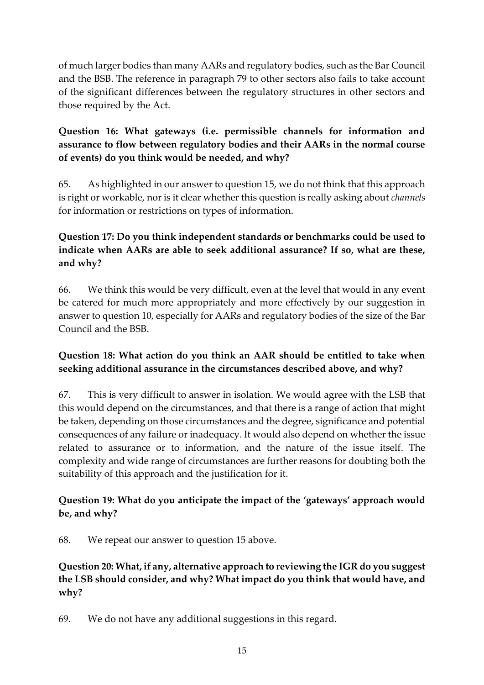of much larger bodies than many AARs and regulatory bodies, such as the Bar Council and the BSB. The reference in paragraph 79 to other sectors also fails to take account of the significant differences between the regulatory structures in other sectors and those required by the Act.

# **Question 16: What gateways (i.e. permissible channels for information and assurance to flow between regulatory bodies and their AARs in the normal course of events) do you think would be needed, and why?**

65. As highlighted in our answer to question 15, we do not think that this approach is right or workable, nor is it clear whether this question is really asking about *channels* for information or restrictions on types of information.

# **Question 17: Do you think independent standards or benchmarks could be used to indicate when AARs are able to seek additional assurance? If so, what are these, and why?**

66. We think this would be very difficult, even at the level that would in any event be catered for much more appropriately and more effectively by our suggestion in answer to question 10, especially for AARs and regulatory bodies of the size of the Bar Council and the BSB.

### **Question 18: What action do you think an AAR should be entitled to take when seeking additional assurance in the circumstances described above, and why?**

67. This is very difficult to answer in isolation. We would agree with the LSB that this would depend on the circumstances, and that there is a range of action that might be taken, depending on those circumstances and the degree, significance and potential consequences of any failure or inadequacy. It would also depend on whether the issue related to assurance or to information, and the nature of the issue itself. The complexity and wide range of circumstances are further reasons for doubting both the suitability of this approach and the justification for it.

#### **Question 19: What do you anticipate the impact of the 'gateways' approach would be, and why?**

68. We repeat our answer to question 15 above.

### **Question 20: What, if any, alternative approach to reviewing the IGR do you suggest the LSB should consider, and why? What impact do you think that would have, and why?**

69. We do not have any additional suggestions in this regard.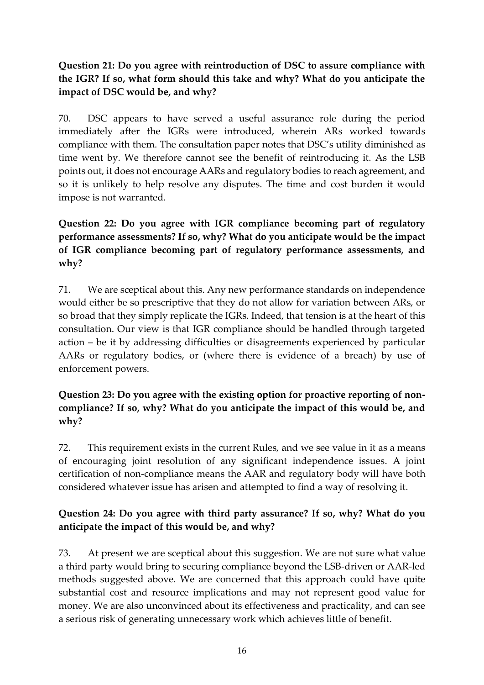## **Question 21: Do you agree with reintroduction of DSC to assure compliance with the IGR? If so, what form should this take and why? What do you anticipate the impact of DSC would be, and why?**

70. DSC appears to have served a useful assurance role during the period immediately after the IGRs were introduced, wherein ARs worked towards compliance with them. The consultation paper notes that DSC's utility diminished as time went by. We therefore cannot see the benefit of reintroducing it. As the LSB points out, it does not encourage AARs and regulatory bodies to reach agreement, and so it is unlikely to help resolve any disputes. The time and cost burden it would impose is not warranted.

# **Question 22: Do you agree with IGR compliance becoming part of regulatory performance assessments? If so, why? What do you anticipate would be the impact of IGR compliance becoming part of regulatory performance assessments, and why?**

71. We are sceptical about this. Any new performance standards on independence would either be so prescriptive that they do not allow for variation between ARs, or so broad that they simply replicate the IGRs. Indeed, that tension is at the heart of this consultation. Our view is that IGR compliance should be handled through targeted action – be it by addressing difficulties or disagreements experienced by particular AARs or regulatory bodies, or (where there is evidence of a breach) by use of enforcement powers.

### **Question 23: Do you agree with the existing option for proactive reporting of noncompliance? If so, why? What do you anticipate the impact of this would be, and why?**

72. This requirement exists in the current Rules, and we see value in it as a means of encouraging joint resolution of any significant independence issues. A joint certification of non-compliance means the AAR and regulatory body will have both considered whatever issue has arisen and attempted to find a way of resolving it.

### **Question 24: Do you agree with third party assurance? If so, why? What do you anticipate the impact of this would be, and why?**

73. At present we are sceptical about this suggestion. We are not sure what value a third party would bring to securing compliance beyond the LSB-driven or AAR-led methods suggested above. We are concerned that this approach could have quite substantial cost and resource implications and may not represent good value for money. We are also unconvinced about its effectiveness and practicality, and can see a serious risk of generating unnecessary work which achieves little of benefit.